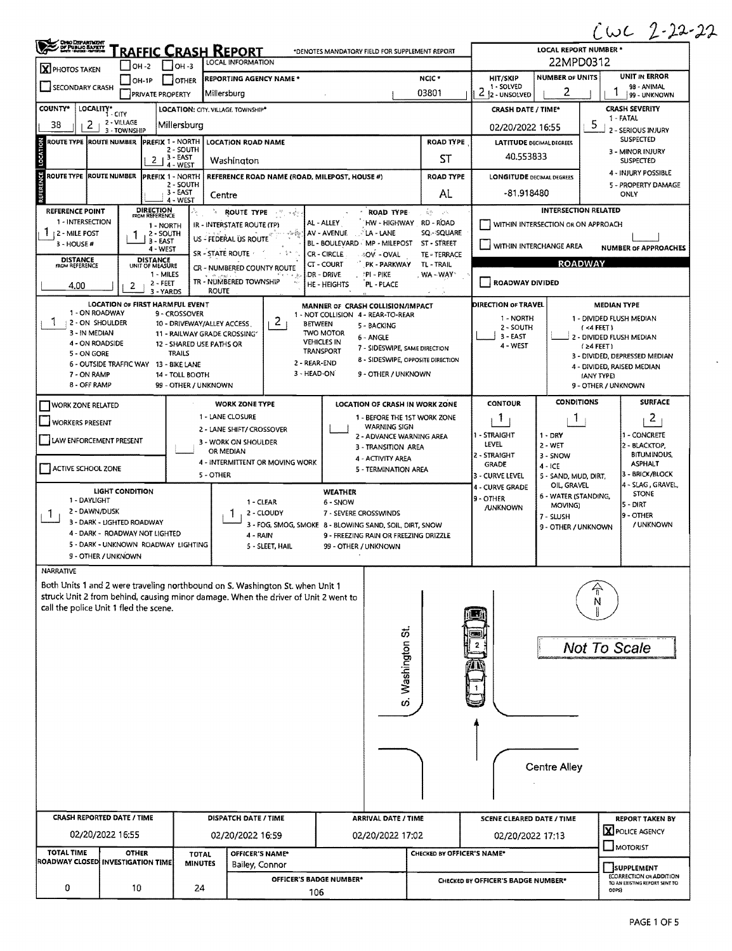$CwC2 - 22 - 22$ 

 $\bar{\mathbf{x}}$ 

| <b>OHIO DEPARTMENT</b><br>/ DF PUBLIC BAFETT<br>Marty States - Andrew | RAFFIC CRASH REPORT                                                   | ∼<br>$\epsilon$<br>LOCAL REPORT NUMBER *                   |                                                                                                                                                                     |                                                                                               |                             |                                                                                                         |                                       |                                          |  |  |
|-----------------------------------------------------------------------|-----------------------------------------------------------------------|------------------------------------------------------------|---------------------------------------------------------------------------------------------------------------------------------------------------------------------|-----------------------------------------------------------------------------------------------|-----------------------------|---------------------------------------------------------------------------------------------------------|---------------------------------------|------------------------------------------|--|--|
| X PHOTOS TAKEN                                                        | OH-2                                                                  | <b>LOCAL INFORMATION</b><br>OH -3                          | 22MPD0312                                                                                                                                                           |                                                                                               |                             |                                                                                                         |                                       |                                          |  |  |
| <b>SECONDARY CRASH</b>                                                | $IOH-IP$                                                              | <b>OTHER</b>                                               | REPORTING AGENCY NAME *                                                                                                                                             |                                                                                               | HIT/SKIP<br>1 - SOLVED      | <b>NUMBER OF UNITS</b><br>2                                                                             | <b>UNIT IN ERROR</b><br>98 - ANIMAL   |                                          |  |  |
| COUNTY*                                                               | PRIVATE PROPERTY<br>LOCALITY* CITY                                    | LOCATION: CITY, VILLAGE TOWNSHIP*                          | Millersburg                                                                                                                                                         |                                                                                               | 03801                       | $212 - UNSOLVED$<br><b>CRASH DATE / TIME*</b>                                                           | 99 - UNKNOWN<br><b>CRASH SEVERITY</b> |                                          |  |  |
| 38<br>2                                                               | 2 - VILLAGE<br>3 - TOWNSHIP                                           | Millersburg                                                |                                                                                                                                                                     | 1 - FATAL<br>5<br>02/20/2022 16:55<br>2 - SERIOUS INJURY                                      |                             |                                                                                                         |                                       |                                          |  |  |
| ROUTE TYPE (ROUTE NUMBER                                              |                                                                       | PREFIX 1 - NORTH<br><b>LOCATION ROAD NAME</b><br>2 - SOUTH | <b>SUSPECTED</b><br><b>LATITUDE DECIMAL DEGREES</b>                                                                                                                 |                                                                                               |                             |                                                                                                         |                                       |                                          |  |  |
| LOCATION                                                              | 3 - EAST<br>2 <sub>1</sub>                                            |                                                            | 3 - MINOR INJURY<br>40.553833<br><b>SUSPECTED</b>                                                                                                                   |                                                                                               |                             |                                                                                                         |                                       |                                          |  |  |
| ERENCE<br>ROUTE TYPE  ROUTE NUMBER                                    |                                                                       | 4 - WEST<br>PREFIX 1 - NORTH                               | REFERENCE ROAD NAME (ROAD, MILEPOST, HOUSE #)                                                                                                                       |                                                                                               | <b>ROAD TYPE</b>            | 4 - INJURY POSSIBLE<br><b>LONGITUDE DECIMAL DEGREES</b>                                                 |                                       |                                          |  |  |
|                                                                       |                                                                       | 2 - SOUTH<br>3 - EAST<br>Centre<br>4 - WEST                | 5 - PROPERTY DAMAGE<br>-81,918480<br>ONLY                                                                                                                           |                                                                                               |                             |                                                                                                         |                                       |                                          |  |  |
| REFERENCE POINT                                                       | <b>DIRECTION</b><br>FROM REFERENCE                                    | Ъ.                                                         | ROUTE TYPE<br>一門の歌                                                                                                                                                  | <b>ROAD TYPE</b>                                                                              | 喜野 一足                       |                                                                                                         | <b>INTERSECTION RELATED</b>           |                                          |  |  |
| 1 - INTERSECTION<br>12 MILE POST                                      | 1 - NORTH<br>2 - SOUTH                                                |                                                            | IR - INTERSTATE ROUTE (TP)<br>$\sim 200$<br>US - FEDERAL US ROUTE                                                                                                   | AL - ALLEY<br>HW - HIGHWAY<br>AV - AVENUE<br><b>LA-LANE</b>                                   | RD - ROAD<br>SQ - SQUARE    | WITHIN INTERSECTION OR ON APPROACH                                                                      |                                       |                                          |  |  |
| $3 - HOUSE H$                                                         | 3 - EAST<br>4 - WEST                                                  |                                                            | SR - STATE ROUTE                                                                                                                                                    | BL - BOULEVARD MP - MILEPOST<br>CR - CIRCLE<br>40V - OVAL                                     | ST - STREET<br>TE - TERRACE |                                                                                                         | WITHIN INTERCHANGE AREA               | <b>NUMBER OF APPROACHES</b>              |  |  |
| <b>DISTANCE</b><br>FROM REFERENCE                                     | <b>DISTANCE</b><br>UNIT OF MEASURE<br>1 - MILES                       |                                                            | CR - NUMBERED COUNTY ROUTE                                                                                                                                          | CT - COURT<br>PK - PARKWAY<br>dr - Drive<br>PI - PIKE                                         | TL - TRAIL<br>WA-WAY        |                                                                                                         | <b>ROADWAY</b>                        |                                          |  |  |
| 4.00                                                                  | $2 - FEET$<br>2<br>3 - YARDS                                          | <b>ROUTE</b>                                               | TR - NUMBERED TOWNSHIP                                                                                                                                              | HE - HEIGHTS<br>PL - PLACE                                                                    |                             | <b>ROADWAY DIVIDED</b>                                                                                  |                                       |                                          |  |  |
|                                                                       | LOCATION OF FIRST HARMFUL EVENT                                       |                                                            |                                                                                                                                                                     | MANNER OF CRASH COLLISION/IMPACT                                                              |                             | DIRECTION OF TRAVEL                                                                                     |                                       | <b>MEDIAN TYPE</b>                       |  |  |
| 1 - ON ROADWAY<br>٦<br>2 - ON SHOULDER                                |                                                                       | 9 - CROSSOVER<br>10 - DRIVEWAY/ALLEY ACCESS                | 2<br>BETWEEN                                                                                                                                                        | 1 - NOT COLLISION 4 - REAR-TO-REAR<br>5 - BACKING                                             |                             | 1 - NORTH<br>2 - SOUTH                                                                                  |                                       | 1 - DIVIDED FLUSH MEDIAN<br>$(4$ FEET)   |  |  |
| 3 - IN MEDIAN<br>4 - ON ROADSIDE                                      |                                                                       | 11 - RAILWAY GRADE CROSSING<br>12 - SHARED USE PATHS OR    |                                                                                                                                                                     | <b>TWO MOTOR</b><br>6 - ANGLE<br><b>VEHICLES IN</b>                                           |                             | 3 - EAST<br>4 - WEST                                                                                    |                                       | 2 - DIVIDED FLUSH MEDIAN<br>$(24$ FEET)  |  |  |
| 5 - ON GORE                                                           | 6 - OUTSIDE TRAFFIC WAY                                               | <b>TRAILS</b><br>13 - BIKE LANE                            | 2 - REAR-END                                                                                                                                                        | 7 - SIDESWIPE, SAME DIRECTION<br><b>TRANSPORT</b><br><b>8 - SIDESWIPE, OPPOSITE DIRECTION</b> |                             |                                                                                                         |                                       | 3 - DIVIDED, DEPRESSED MEDIAN            |  |  |
| 7 - ON RAMP                                                           |                                                                       | 14 - TOLL BOOTH                                            | 3 - HEAD-ON                                                                                                                                                         | 9 - OTHER / UNKNOWN                                                                           |                             |                                                                                                         |                                       | 4 - DIVIDED, RAISED MEDIAN<br>(ANY TYPE) |  |  |
| 8 - OFF RAMP                                                          |                                                                       | 99 - OTHER / UNKNOWN                                       |                                                                                                                                                                     |                                                                                               |                             |                                                                                                         | <b>CONDITIONS</b>                     | 9 - OTHER / UNKNOWN<br><b>SURFACE</b>    |  |  |
| <b>WORK ZONE RELATED</b>                                              |                                                                       |                                                            | <b>WORK ZONE TYPE</b><br>1 - LANE CLOSURE                                                                                                                           | LOCATION OF CRASH IN WORK ZONE<br>1 - BEFORE THE 1ST WORK ZONE                                |                             | <b>CONTOUR</b><br>1                                                                                     | 1                                     | $\overline{c}$                           |  |  |
| WORKERS PRESENT                                                       |                                                                       |                                                            | 2 - LANE SHIFT/ CROSSOVER                                                                                                                                           | <b>WARNING SIGN</b><br>2 - ADVANCE WARNING AREA                                               |                             | 1 - STRAIGHT                                                                                            | $1 - DRY$                             | 1 - CONCRETE                             |  |  |
| LAW ENFORCEMENT PRESENT                                               |                                                                       |                                                            | 3 - WORK ON SHOULDER<br>OR MEDIAN                                                                                                                                   | 3 - TRANSITION AREA                                                                           | LEVEL<br>2 - STRAIGHT       | 2 - WET<br>3 - SNOW                                                                                     | 2 - BLACKTOP,<br><b>BITUMINOUS,</b>   |                                          |  |  |
| ACTIVE SCHOOL ZONE                                                    |                                                                       |                                                            | 4 - INTERMITTENT OR MOVING WORK                                                                                                                                     | 4 - ACTIVITY AREA<br>5 - TERMINATION AREA                                                     |                             | <b>ASPHALT</b><br><b>GRADE</b><br>$4 - ICE$<br>3 - BRICK/BLOCK<br>3 - CURVE LEVEL<br>5 SAND, MUD, DIRT, |                                       |                                          |  |  |
|                                                                       | <b>LIGHT CONDITION</b>                                                | 5 - OTHER                                                  |                                                                                                                                                                     | WEATHER                                                                                       |                             | 4 - CURVE GRADE                                                                                         | OIL, GRAVEL                           | 4 - SLAG, GRAVEL,                        |  |  |
| 1 - DAYLIGHT                                                          |                                                                       |                                                            | 1 - CLEAR                                                                                                                                                           | 6 - SNOW                                                                                      |                             | 9 - OTHER<br><b>/UNKNOWN</b>                                                                            | 6 - WATER (STANDING,<br>MOVING)       | <b>STONE</b><br>5 - DIRT                 |  |  |
| 2 - DAWN/DUSK<br>1                                                    | 3 - DARK - LIGHTED ROADWAY                                            |                                                            | 2 - CLOUDY                                                                                                                                                          | 7 - SEVERE CROSSWINDS<br>3 - FOG, SMOG, SMOKE 8 - BLOWING SAND, SOIL, DIRT, SNOW              |                             |                                                                                                         | 7 - SLUSH<br>9 - OTHER / UNKNOWN      | 9 - OTHER<br>/ UNKNOWN                   |  |  |
|                                                                       | 4 - DARK - ROADWAY NOT LIGHTED<br>5 - DARK - UNKNOWN ROADWAY LIGHTING |                                                            | 4 - RAIN<br>5 - SLEET, HAIL                                                                                                                                         | 9 - FREEZING RAIN OR FREEZING DRIZZLE<br>99 - OTHER / UNKNOWN                                 |                             |                                                                                                         |                                       |                                          |  |  |
|                                                                       | 9 - OTHER / UNKNOWN                                                   |                                                            |                                                                                                                                                                     |                                                                                               |                             |                                                                                                         |                                       |                                          |  |  |
| <b>NARRATIVE</b>                                                      |                                                                       |                                                            |                                                                                                                                                                     |                                                                                               |                             |                                                                                                         |                                       |                                          |  |  |
|                                                                       |                                                                       |                                                            | Both Units 1 and 2 were traveling northbound on S. Washington St. when Unit 1<br>struck Unit 2 from behind, causing minor damage. When the driver of Unit 2 went to |                                                                                               |                             |                                                                                                         |                                       |                                          |  |  |
|                                                                       | call the police Unit 1 fled the scene.                                |                                                            |                                                                                                                                                                     |                                                                                               |                             |                                                                                                         |                                       |                                          |  |  |
|                                                                       |                                                                       |                                                            |                                                                                                                                                                     |                                                                                               |                             |                                                                                                         |                                       |                                          |  |  |
|                                                                       |                                                                       |                                                            |                                                                                                                                                                     |                                                                                               |                             |                                                                                                         |                                       | <b>Not To Scale</b>                      |  |  |
|                                                                       |                                                                       |                                                            |                                                                                                                                                                     | S. Washington St.                                                                             |                             |                                                                                                         |                                       |                                          |  |  |
|                                                                       |                                                                       |                                                            |                                                                                                                                                                     |                                                                                               |                             |                                                                                                         |                                       |                                          |  |  |
|                                                                       |                                                                       |                                                            |                                                                                                                                                                     |                                                                                               |                             |                                                                                                         |                                       |                                          |  |  |
|                                                                       |                                                                       |                                                            |                                                                                                                                                                     |                                                                                               |                             |                                                                                                         |                                       |                                          |  |  |
|                                                                       |                                                                       |                                                            |                                                                                                                                                                     |                                                                                               |                             |                                                                                                         |                                       |                                          |  |  |
|                                                                       |                                                                       |                                                            |                                                                                                                                                                     |                                                                                               |                             |                                                                                                         |                                       |                                          |  |  |
| Centre Alley                                                          |                                                                       |                                                            |                                                                                                                                                                     |                                                                                               |                             |                                                                                                         |                                       |                                          |  |  |
|                                                                       |                                                                       |                                                            |                                                                                                                                                                     |                                                                                               |                             |                                                                                                         |                                       |                                          |  |  |
|                                                                       | <b>CRASH REPORTED DATE / TIME</b>                                     |                                                            | DISPATCH DATE / TIME                                                                                                                                                | ARRIVAL DATE / TIME                                                                           |                             | <b>SCENE CLEARED DATE / TIME</b>                                                                        |                                       | <b>REPORT TAKEN BY</b>                   |  |  |
|                                                                       | 02/20/2022 16:55                                                      |                                                            | 02/20/2022 16:59                                                                                                                                                    | 02/20/2022 17:02                                                                              |                             | 02/20/2022 17:13                                                                                        |                                       | <b>X</b> POLICE AGENCY                   |  |  |
| <b>TOTAL TIME</b>                                                     | <b>OTHER</b>                                                          | <b>TOTAL</b>                                               | OFFICER'S NAME*                                                                                                                                                     |                                                                                               | CHECKED BY OFFICER'S NAME*  |                                                                                                         |                                       | $\Box$ MOTORIST                          |  |  |
|                                                                       | ROADWAY CLOSED INVESTIGATION TIME                                     | <b>MINUTES</b>                                             | Bailey, Connor                                                                                                                                                      |                                                                                               |                             |                                                                                                         |                                       | SUPPLEMENT<br>(CORRECTION OR ADDITION    |  |  |
| 0                                                                     | 10                                                                    | 24                                                         | OFFICER'S BADGE NUMBER*<br>106                                                                                                                                      |                                                                                               |                             | CHECKED BY OFFICER'S BADGE NUMBER*<br>TO AN EXISTING REPORT SENT TO<br>ODPS)                            |                                       |                                          |  |  |
|                                                                       |                                                                       |                                                            |                                                                                                                                                                     |                                                                                               |                             |                                                                                                         |                                       |                                          |  |  |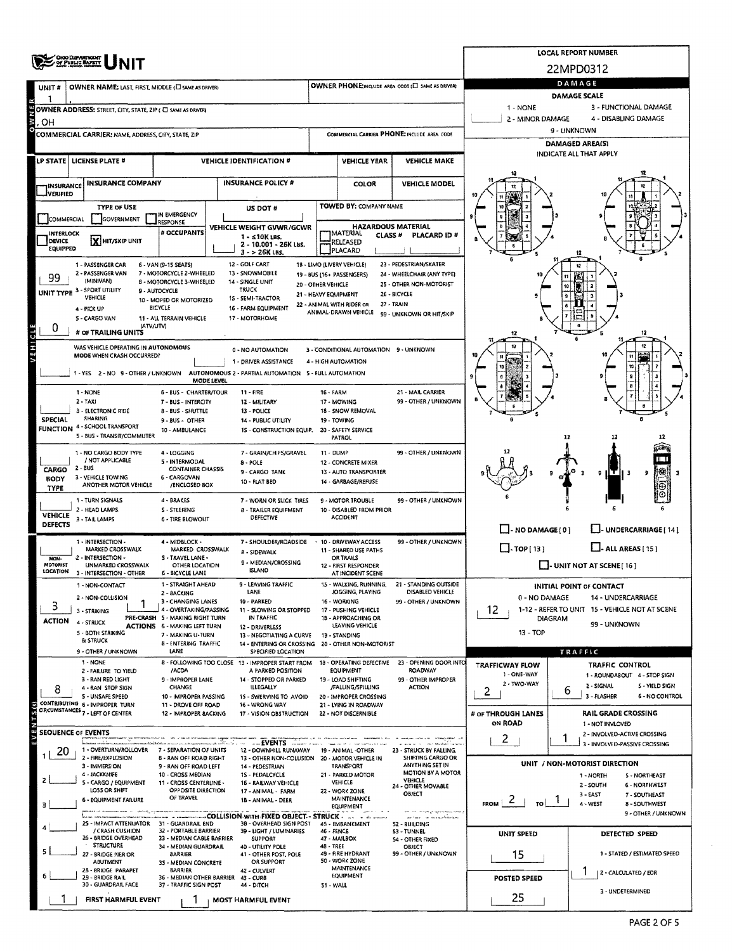|                                | <b>OROO DEPARTMENT<br/>OF PUBLIC SAFETY</b>                                              |                                                                               | LOCAL REPORT NUMBER                                    |                                                                                            |                                                                              |                                                              |                                                                          |                                                                 |                           |                                                                  |  |  |  |  |  |
|--------------------------------|------------------------------------------------------------------------------------------|-------------------------------------------------------------------------------|--------------------------------------------------------|--------------------------------------------------------------------------------------------|------------------------------------------------------------------------------|--------------------------------------------------------------|--------------------------------------------------------------------------|-----------------------------------------------------------------|---------------------------|------------------------------------------------------------------|--|--|--|--|--|
|                                |                                                                                          |                                                                               |                                                        |                                                                                            |                                                                              |                                                              |                                                                          | 22MPD0312                                                       |                           |                                                                  |  |  |  |  |  |
| UNIT#                          | OWNER NAME: LAST, FIRST, MIDDLE (E) SAME AS DRIVER)                                      |                                                                               |                                                        | OWNER PHONE:INCLUDE AREA CODE (E) SAME AS DRIVERY                                          | DAMAGE<br>DAMAGE SCALE                                                       |                                                              |                                                                          |                                                                 |                           |                                                                  |  |  |  |  |  |
|                                | OWNER ADDRESS: STREET, CITY, STATE, ZIP ( C) SAME AS DRIVER)                             |                                                                               |                                                        |                                                                                            |                                                                              |                                                              |                                                                          | 1 - NONE                                                        |                           | 3 - FUNCTIONAL DAMAGE                                            |  |  |  |  |  |
| ОН                             |                                                                                          |                                                                               |                                                        |                                                                                            |                                                                              |                                                              |                                                                          | 2 - MINOR DAMAGE<br>4 - DISABLING DAMAGE                        |                           |                                                                  |  |  |  |  |  |
|                                | COMMERCIAL CARRIER: NAME, ADDRESS, CITY, STATE, ZIP                                      |                                                                               |                                                        |                                                                                            |                                                                              |                                                              | COMMERCIAL CARRIER PHONE: INCLUDE AREA CODE                              | 9 - UNKNOWN<br><b>DAMAGED AREA(S)</b>                           |                           |                                                                  |  |  |  |  |  |
|                                |                                                                                          |                                                                               |                                                        |                                                                                            |                                                                              |                                                              |                                                                          | INDICATE ALL THAT APPLY                                         |                           |                                                                  |  |  |  |  |  |
|                                | LP STATE   LICENSE PLATE #                                                               |                                                                               |                                                        | <b>VEHICLE IDENTIFICATION #</b>                                                            |                                                                              | <b>VEHICLE YEAR</b>                                          | <b>VEHICLE MAKE</b>                                                      |                                                                 |                           |                                                                  |  |  |  |  |  |
| <b><i>INSURANCE</i></b>        | <b>INSURANCE COMPANY</b>                                                                 | <b>INSURANCE POLICY #</b>                                                     |                                                        |                                                                                            |                                                                              | COLOR                                                        | <b>VEHICLE MODEL</b>                                                     |                                                                 |                           |                                                                  |  |  |  |  |  |
| __]VERIFIED                    |                                                                                          |                                                                               |                                                        |                                                                                            |                                                                              | TOWED BY: COMPANY NAME                                       |                                                                          |                                                                 |                           |                                                                  |  |  |  |  |  |
| COMMERCIAL                     | <b>TYPE OF USE</b><br>GOVERNMENT                                                         | IN EMERGENCY<br><b>LESPONSE</b>                                               |                                                        | US DOT #                                                                                   |                                                                              |                                                              |                                                                          |                                                                 |                           |                                                                  |  |  |  |  |  |
| INTERLOCK                      |                                                                                          | # OCCUPANTS                                                                   |                                                        | VEHICLE WEIGHT GVWR/GCWR<br>1 - ≤10K LBS.                                                  |                                                                              | <b>HAZARDOUS MATERIAL</b><br>IMATERIAL<br>CLASS <sup>#</sup> | PLACARD ID #                                                             |                                                                 |                           |                                                                  |  |  |  |  |  |
| DEVICE<br><b>EQUIPPED</b>      | X HIT/SKIP UNIT                                                                          |                                                                               | 2 - 10.001 - 26K LBS.<br>3 - > 26K LBS.                |                                                                                            |                                                                              | RELEASED<br>PLACARD                                          |                                                                          |                                                                 |                           |                                                                  |  |  |  |  |  |
|                                | 1 - PASSENGER CAR                                                                        | 6 - VAN (9-15 SEATS)                                                          |                                                        | 12 - GOLF CART                                                                             |                                                                              | 18 - LIMO (LIVERY VEHICLE)                                   | 23 - PEDESTRIAN/SKATER                                                   |                                                                 |                           |                                                                  |  |  |  |  |  |
| 99                             | 2 - PASSENGER VAN<br>(MINIVAN)                                                           | 7 - MOTORCYCLE 2-WHEELED<br>8 - MOTORCYCLE 3-WHEELED                          |                                                        | 13 - SNOWMOBILE<br>14 - SINGLE UNIT                                                        | 20 - OTHER VEHICLE                                                           | 19 - BUS (16+ PASSENGERS)                                    | 24 - WHEELCHAIR (ANY TYPE)<br>25 - OTHER NON-MOTORIST                    |                                                                 |                           |                                                                  |  |  |  |  |  |
| UNIT TYPE <sup>3</sup>         | <b>SPORT UTILITY</b><br><b>VEHICLE</b>                                                   | 9 - AUTOCYCLE<br>10 - MOPED OR MOTORIZED                                      |                                                        | <b>TRUCK</b><br>15 - SEMI-TRACTOR                                                          | 21 - HEAVY EQUIPMENT                                                         |                                                              | 26 - BICYCLE                                                             |                                                                 |                           |                                                                  |  |  |  |  |  |
|                                | 4 - PICK UP<br>5 - CARGO VAN                                                             | <b>BICYCLE</b><br>11 - ALL TERRAIN VEHICLE                                    |                                                        | 16 - FARM EQUIPMENT<br>17 - MOTORHOME                                                      |                                                                              | 22 - ANIMAL WITH RIDER OR<br>ANIMAL-DRAWN VEHICLE            | 27 - TRAIN<br>99 - UNKNOWN OR HIT/SKIP                                   |                                                                 |                           |                                                                  |  |  |  |  |  |
| 0                              | (ATV/UTV)<br># or TRAILING UNITS                                                         |                                                                               |                                                        |                                                                                            |                                                                              |                                                              |                                                                          |                                                                 |                           |                                                                  |  |  |  |  |  |
| <b>AEHICLE</b>                 | WAS VEHICLE OPERATING IN AUTONOMOUS                                                      |                                                                               |                                                        | 0 - NO AUTOMATION                                                                          |                                                                              | 3 - CONDITIONAL AUTOMATION 9 - UNKNOWN                       |                                                                          |                                                                 |                           |                                                                  |  |  |  |  |  |
|                                | MODE WHEN CRASH OCCURRED?                                                                |                                                                               |                                                        | 1 - DRIVER ASSISTANCE                                                                      |                                                                              | 4 - HIGH AUTOMATION                                          |                                                                          |                                                                 |                           |                                                                  |  |  |  |  |  |
|                                | 1 - YES 2 - NO 9 - OTHER / UNKNOWN AUTONOMOUS 2 - PARTIAL AUTOMATION 5 - FULL AUTOMATION |                                                                               | <b>MODE LEVEL</b>                                      |                                                                                            |                                                                              |                                                              |                                                                          |                                                                 |                           |                                                                  |  |  |  |  |  |
|                                | 1 - NONE                                                                                 | <b>6 - BUS - CHARTER/TOUR</b>                                                 |                                                        | 11 - FIRE                                                                                  | <b>16 - FARM</b>                                                             |                                                              | 21 - MAIL CARRIER                                                        |                                                                 |                           |                                                                  |  |  |  |  |  |
|                                | $2 - TAXI$<br>3 - ELECTRONIC RIDE                                                        | 7 - BUS - INTERCITY<br>8 - BUS - SHUTTLE                                      |                                                        | 12 - MILITARY<br>13 - POLICE                                                               |                                                                              | 17 - MOWING<br>18 - SNOW REMOVAL                             | 99 - OTHER / UNKNOWN                                                     |                                                                 |                           |                                                                  |  |  |  |  |  |
| SPECIAL                        | <b>SHARING</b><br><b>FUNCTION 4 - SCHOOL TRANSPORT</b>                                   | 9 - BUS - OTHER                                                               |                                                        | 14 - PUBLIC UTILITY                                                                        | 19 - TOWING<br>20 - SAFETY SERVICE                                           |                                                              |                                                                          |                                                                 |                           |                                                                  |  |  |  |  |  |
|                                | 5 - BUS - TRANSIT/COMMUTER                                                               | 10 - AMBULANCE                                                                | 1S - CONSTRUCTION EQUIP.                               |                                                                                            |                                                                              | PATROL                                                       |                                                                          |                                                                 | 12                        |                                                                  |  |  |  |  |  |
|                                | 1 - NO CARGO BODY TYPE<br>/ NOT APPLICABLE                                               | 4 - LOGGING                                                                   |                                                        | 7 - GRAIN/CHIPS/GRAVEL                                                                     | 11 - DUMP                                                                    |                                                              | 99 - OTHER / UNKNOWN                                                     |                                                                 |                           |                                                                  |  |  |  |  |  |
| CARGO                          | 2 - BUS                                                                                  | 5 - INTERMODAL                                                                | 8 - POLE<br><b>CONTAINER CHASSIS</b><br>9 - CARGO TANK |                                                                                            |                                                                              | 12 - CONCRETE MIXER<br>13 - AUTO TRANSPORTER                 | 9                                                                        |                                                                 |                           |                                                                  |  |  |  |  |  |
| <b>BODY</b><br><b>TYPE</b>     | 3 - VEHICLE TOWING<br>ANOTHER MOTOR VEHICLE                                              | 6 - CARGOVAN<br>10 - FLAT BED<br>/ENCLOSED BOX                                |                                                        |                                                                                            | 14 - GARBAGE/REFUSE                                                          |                                                              |                                                                          |                                                                 |                           |                                                                  |  |  |  |  |  |
|                                | 1 - TURN SIGNALS                                                                         | 4 - BRAKES                                                                    | 7 - WORN OR SLICK TIRES                                |                                                                                            | 9 - MOTOR TROUBLE                                                            | 99 - OTHER / UNKNOWN                                         |                                                                          |                                                                 |                           |                                                                  |  |  |  |  |  |
| <b>VEHICLE</b><br>DEFECTS      | 2 - HEAD LAMPS<br>3 - TAIL LAMPS                                                         | S - STEERING<br>8 - TRAILER EQUIPMENT<br>DEFECTIVE<br><b>6 - TIRE BLOWOUT</b> |                                                        |                                                                                            |                                                                              | 10 - DISABLED FROM PRIOR<br><b>ACCIDENT</b>                  |                                                                          |                                                                 |                           |                                                                  |  |  |  |  |  |
|                                | 1 - INTERSECTION -                                                                       | 7 - SHOULDER/ROADSIDE<br>4 - MIDBLOCK -                                       |                                                        |                                                                                            |                                                                              | 10 - DRIVEWAY ACCESS                                         | $\Box$ - NO DAMAGE $(0)$<br>U-UNDERCARRIAGE [14]<br>99 - OTHER / UNKNOWN |                                                                 |                           |                                                                  |  |  |  |  |  |
|                                | MARKED CROSSWALK<br>2 - INTERSECTION -                                                   | S - TRAVEL LANE -                                                             | MARKED CROSSWALK<br>8 - SIDEWALK                       |                                                                                            |                                                                              | 11 - SHARED USE PATHS<br>OR TRAILS                           | $\Box$ -TOP[13]                                                          |                                                                 | $\Box$ - ALL AREAS [ 15 ] |                                                                  |  |  |  |  |  |
| NON-<br>MOTORIST               | UNMARKED CROSSWALK<br>LOCATION 3 - INTERSECTION - OTHER                                  | <b>OTHER LOCATION</b><br><b>6 - BICYCLE LANE</b>                              |                                                        | 9 - MEDIAN/CROSSING<br><b>ISLAND</b>                                                       |                                                                              | 12 - FIRST RESPONDER<br>AT INCIDENT SCENE                    |                                                                          |                                                                 |                           | $\Box$ - UNIT NOT AT SCENE [ 16 ]                                |  |  |  |  |  |
|                                | 1 - NON-CONTACT                                                                          | 1 - STRAIGHT AHEAD                                                            |                                                        | 9 - LEAVING TRAFFIC                                                                        |                                                                              | 15 - WALKING, RUNNING,                                       | 21 - STANDING OUTSIDE                                                    | <b>INITIAL POINT OF CONTACT</b>                                 |                           |                                                                  |  |  |  |  |  |
| 3                              | 2 - NON-COLLISION                                                                        | 2 - BACKING<br>3 - CHANGING LANES                                             |                                                        | LANE<br>10 - PARKED                                                                        | JOGGING, PLAYING<br>DISABLED VEHICLE<br>16 - WORKING<br>99 - OTHER / UNKNOWN |                                                              |                                                                          | 0 - NO DAMAGE                                                   |                           | 14 - UNDERCARRIAGE                                               |  |  |  |  |  |
| <b>ACTION</b>                  | 3 - STRIKING                                                                             | 4 - OVERTAKING/PASSING<br>PRE-CRASH 5 - MAKING RIGHT TURN                     |                                                        | 11 - SLOWING OR STOPPED<br>IN TRAFFIC                                                      | 17 - PUSHING VEHICLE<br>18 - APPROACHING OR                                  |                                                              |                                                                          | 1-12 - REFER TO UNIT 15 - VEHICLE NOT AT SCENE<br>12<br>DIAGRAM |                           |                                                                  |  |  |  |  |  |
|                                | 4 - STRUCK<br><b>S - BOTH STRIKING</b>                                                   | <b>ACTIONS 6 - MAKING LEFT TURN</b><br>7 - MAKING U-TURN                      |                                                        | 12 - DRIVERLESS<br>13 - NEGOTIATING A CURVE                                                | LEAVING VEHICLE<br>19 - STANDING                                             |                                                              |                                                                          | 99 - UNKNOWN<br>$13 - TOP$                                      |                           |                                                                  |  |  |  |  |  |
|                                | & STRUCK<br>9 - OTHER / UNKNOWN                                                          | <b>8 - ENTERING TRAFFIC</b><br>LANE                                           |                                                        | 14 - ENTERING OR CROSSING<br>SPECIFIED LOCATION                                            | 20 - OTHER NON-MOTORIST                                                      |                                                              |                                                                          | TRAFFIC                                                         |                           |                                                                  |  |  |  |  |  |
|                                | 1 - NONE                                                                                 | /ACDA                                                                         |                                                        | 8 - FOLLOWING TOO CLOSE 13 - IMPROPER START FROM<br>A PARKED POSITION                      |                                                                              | 18 - OPERATING DEFECTIVE<br>EQUIPMENT                        | 23 - OPENING DOOR INTO<br><b>ROADWAY</b>                                 | <b>TRAFFICWAY FLOW</b>                                          |                           | <b>TRAFFIC CONTROL</b>                                           |  |  |  |  |  |
|                                | 2 - FAILURE TO YIELD<br>3 - RAN RED LIGHT                                                | 9 - IMPROPER LANE                                                             |                                                        | 14 - STOPPED OR PARKED                                                                     |                                                                              | 19 - LOAD SHIFTING                                           | 99 - OTHER IMPROPER                                                      | 1 - ONE-WAY<br>2 - TWO-WAY                                      |                           | 1 - ROUNDABOUT 4 - STOP SIGN<br>2 - SIGNAL<br>5 - YIELD SIGN     |  |  |  |  |  |
| ö                              | 4 - RAN STOP SIGN<br>5 - UNSAFE SPEED                                                    | CHANGE<br>10 - IMPROPER PASSING                                               |                                                        | ILLEGALLY<br>15 - SWERVING TO AVOID                                                        |                                                                              | /FALUNG/SPILLING<br>20 - IMPROPER CROSSING                   | <b>ACTION</b>                                                            | 2                                                               | ь                         | 3 - FLASHER<br><b>6 - NO CONTROL</b>                             |  |  |  |  |  |
|                                | CONTRIBUTING 5 - IMPROPER TURN<br>CIRCUMSTANCES 7 - LEFT OF CENTER                       | 11 - DROVE OFF ROAD<br>12 - IMPROPER BACKING                                  |                                                        | 16 - WRONG WAY<br>17 - VISION OBSTRUCTION                                                  |                                                                              | 21 - LYING IN ROADWAY<br>22 - NOT DISCERNIBLE                |                                                                          | # OF THROUGH LANES                                              |                           | RAIL GRADE CROSSING                                              |  |  |  |  |  |
| œ<br><b>SEOUENCE OF EVENTS</b> |                                                                                          |                                                                               |                                                        |                                                                                            |                                                                              |                                                              |                                                                          | ON ROAD                                                         |                           | 1 - NOT INVLOVED<br>2 - INVOLVED-ACTIVE CROSSING                 |  |  |  |  |  |
| $\frac{5}{10}$                 | 1 - OVERTURN/ROLLOVER                                                                    | 7 - SEPARATION OF UNITS                                                       |                                                        | $\sim$ --EVENTS<br>12 - DOWNHILL RUNAWAY                                                   |                                                                              | 19 - ANIMAL -OTHER                                           | 23 - STRUCK BY FALLING,                                                  | 2                                                               | 1                         | 3 - INVOLVED-PASSIVE CROSSING                                    |  |  |  |  |  |
| 20                             | 2 - FIRE/EXPLOSION<br>3 - IMMERSION                                                      | <b>8 - RAN OFF ROAD RIGHT</b><br>9 - RAN OFF ROAD LEFT                        |                                                        | 13 - OTHER NON-COLLISION 20 - MOTOR VEHICLE IN<br>14 - PEDESTRIAN                          |                                                                              | <b>TRANSPORT</b>                                             | SHIFTING CARGO OR<br>ANYTHING SET IN                                     |                                                                 |                           | UNIT / NON-MOTORIST DIRECTION                                    |  |  |  |  |  |
|                                | 4 - JACKKNIFE<br>5 - CARGO / EQUIPMENT                                                   | 10 - CROSS MEDIAN<br>11 - CROSS CENTERLINE -                                  |                                                        | 15 - PEDALCYCLE<br>16 - RAILWAY VEHICLE                                                    |                                                                              | 21 - PARKED MOTOR<br>VEHICLE                                 | MOTION BY A MOTOR<br>VEHICLE                                             |                                                                 |                           | 1 - NORTH<br>5 - NORTHEAST                                       |  |  |  |  |  |
|                                | LOSS OR SHIFT                                                                            | OPPOSITE DIRECTION                                                            |                                                        | 17 - ANIMAL - FARM                                                                         |                                                                              | 22 - WORK ZONE                                               | 24 - OTHER MOVABLE<br>OBJECT                                             |                                                                 |                           | 2 - SOUTH<br><b>6 - NORTHWEST</b><br>$3 - EAST$<br>7 - SOUTHEAST |  |  |  |  |  |
|                                | 6 - EQUIPMENT FAILURE                                                                    | OF TRAVEL<br>18 - ANIMAL - DEER                                               |                                                        |                                                                                            |                                                                              | MAINTENANCE<br>EQUIPMENT                                     | na i anisam ga napronomina nome                                          | $F_{ROM}$ $2$<br>TO.                                            |                           | 4 - WEST<br>8 - SOUTHWEST<br>9 - OTHER / UNKNOWN                 |  |  |  |  |  |
|                                | 25 - IMPACT ATTENUATOR 31 - GUARDRAIL END<br>/ CRASH CUSHION                             | 32 - PORTABLE BARRIER                                                         |                                                        | COLLISION WITH FIXED OBJECT - STRUCK<br>38 - OVERHEAD SIGN POST<br>39 - LIGHT / LUMINARIES | 46 - FENCE                                                                   | 45 - EMBANKMENT                                              | ar me - a mandalan<br>52 - BUILDING                                      |                                                                 |                           |                                                                  |  |  |  |  |  |
|                                | 26 - BRIDGE OVERHEAD<br><b>STRUCTURE</b>                                                 | 33 - MEDIAN CABLE BARRIER<br>34 - MEDIAN GUARDRAIL                            |                                                        | <b>SUPPORT</b><br>40 - UTILITY POLE                                                        | 48 - TREE                                                                    | 47 - MAILBOX                                                 | 53 - TUNNEL<br>54 - OTHER FIXED<br>OBJECT                                | <b>UNIT SPEED</b>                                               |                           | DETECTED SPEED                                                   |  |  |  |  |  |
|                                | 27 - BRIDGE PIER OR<br>ABUTMENT                                                          | <b>BARRIER</b>                                                                |                                                        | 41 - OTHER POST, POLE<br>OR SUPPORT                                                        |                                                                              | 49 - FIRE HYDRANT<br>50 - WORK ZONE                          | 99 - OTHER / UNKNOWN                                                     | 15                                                              |                           | 1 - STATED / ESTIMATED SPEED                                     |  |  |  |  |  |
|                                | 28 - BRIDGE PARAPET<br>29 - BRIDGE RAIL                                                  | 35 - MEDIAN CONCRETE<br><b>BARRIER</b><br>36 - MEDIAN OTHER BARRIER 43 - CURB |                                                        | 42 - CULVERT                                                                               |                                                                              | MAINTENANCE<br>EQUIPMENT                                     |                                                                          | POSTED SPEED                                                    |                           | 2 - CALCULATED / EDR                                             |  |  |  |  |  |
|                                | 30 - GUARDRAIL FACE                                                                      | 37 - TRAFFIC SIGN POST                                                        |                                                        | 44 - DITCH                                                                                 | 51 WALL                                                                      |                                                              |                                                                          |                                                                 |                           | 3 - UNDETERMINED                                                 |  |  |  |  |  |
|                                | FIRST HARMFUL EVENT                                                                      |                                                                               |                                                        | <b>MOST HARMFUL EVENT</b>                                                                  |                                                                              |                                                              |                                                                          | 25                                                              |                           |                                                                  |  |  |  |  |  |

 $\lambda$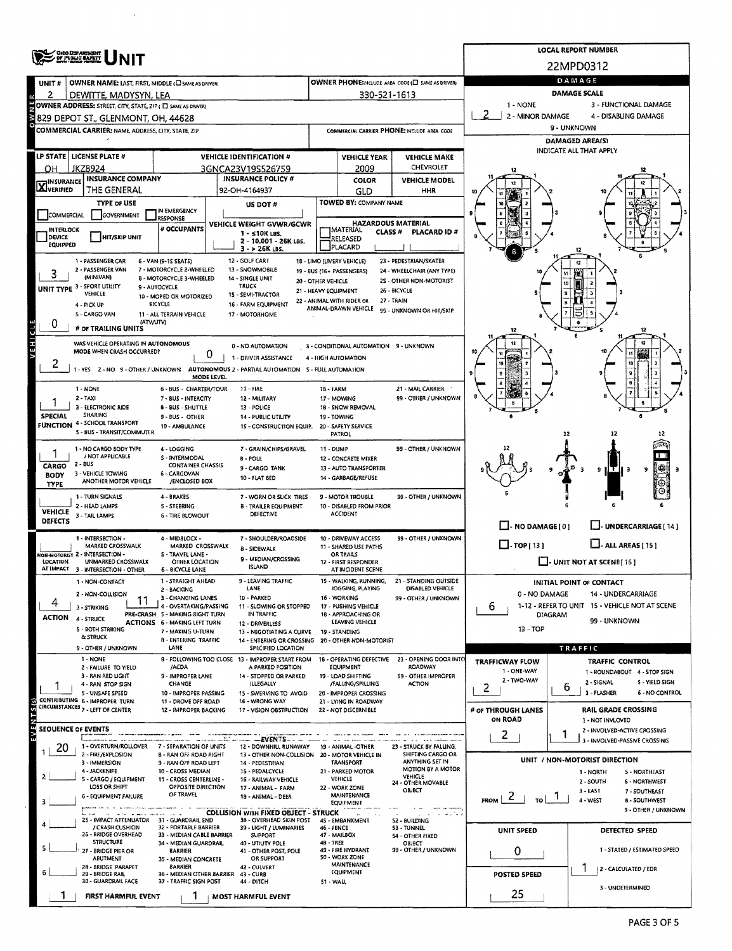|                                    | <b>ONO DEPARTMENT</b><br>OF PUBLIC <b>BAFRIT</b>                                          |                                                                        | <b>LOCAL REPORT NUMBER</b>                                                            |                                                                                                                                                                               |                                                      |                                                            |                                 |                                |                                                |  |  |  |  |
|------------------------------------|-------------------------------------------------------------------------------------------|------------------------------------------------------------------------|---------------------------------------------------------------------------------------|-------------------------------------------------------------------------------------------------------------------------------------------------------------------------------|------------------------------------------------------|------------------------------------------------------------|---------------------------------|--------------------------------|------------------------------------------------|--|--|--|--|
|                                    |                                                                                           |                                                                        |                                                                                       |                                                                                                                                                                               |                                                      |                                                            | 22MPD0312                       |                                |                                                |  |  |  |  |
| UNIT#                              | OWNER NAME: LAST, FIRST, MIDDLE (E) SAME AS DRIVER)                                       |                                                                        |                                                                                       |                                                                                                                                                                               |                                                      | OWNER PHONE: NCLUDE AREA CODE (E) SAME AS DRIVERY          | DAMAGE                          |                                |                                                |  |  |  |  |
| 2                                  | DEWITTE, MADYSYN, LEA                                                                     |                                                                        |                                                                                       |                                                                                                                                                                               | 330-521-1613                                         |                                                            | DAMAGE SCALE                    |                                |                                                |  |  |  |  |
|                                    | OWNER ADDRESS: STREET, CITY, STATE, ZIP ( C) SAME AS DRIVER)                              |                                                                        |                                                                                       |                                                                                                                                                                               |                                                      |                                                            | 1 - NONE<br>2 - MINOR DAMAGE    |                                | 3 - FUNCTIONAL DAMAGE<br>4 - DISABLING DAMAGE  |  |  |  |  |
|                                    | 829 DEPOT ST., GLENMONT, OH, 44628<br>COMMERCIAL CARRIER: NAME, ADDRESS, CITY, STATE, ZIP |                                                                        |                                                                                       |                                                                                                                                                                               |                                                      | COMMERCIAL CARRIER PHONE: INCLUDE AREA CODE                | 9 - UNKNOWN                     |                                |                                                |  |  |  |  |
|                                    |                                                                                           |                                                                        |                                                                                       |                                                                                                                                                                               |                                                      |                                                            | <b>DAMAGED AREA(S)</b>          |                                |                                                |  |  |  |  |
|                                    | LP STATE   LICENSE PLATE #                                                                |                                                                        | <b>VEHICLE IDENTIFICATION #</b>                                                       |                                                                                                                                                                               | <b>VEHICLE YEAR</b>                                  | <b>VEHICLE MAKE</b>                                        |                                 | INDICATE ALL THAT APPLY        |                                                |  |  |  |  |
| JKZ8924<br>3GNCA23V19S526759<br>OН |                                                                                           |                                                                        |                                                                                       |                                                                                                                                                                               | 2009                                                 | CHEVROLET                                                  |                                 |                                |                                                |  |  |  |  |
| <b>X</b> INSURANCE                 | <b>INSURANCE COMPANY</b>                                                                  | <b>INSURANCE POLICY #</b>                                              |                                                                                       |                                                                                                                                                                               | <b>COLOR</b>                                         | <b>VEHICLE MODEL</b>                                       |                                 |                                |                                                |  |  |  |  |
|                                    | THE GENERAL<br><b>TYPE OF USE</b>                                                         |                                                                        | 92-OH-4164937                                                                         |                                                                                                                                                                               | GLD<br>TOWED BY: COMPANY NAME                        | HHR                                                        |                                 |                                |                                                |  |  |  |  |
| COMMERCIAL                         | <b>GOVERNMENT</b>                                                                         | IN EMERGENCY<br><b>RESPONSE</b>                                        | US DOT #                                                                              |                                                                                                                                                                               |                                                      |                                                            |                                 |                                |                                                |  |  |  |  |
| <b>INTERLOCK</b>                   |                                                                                           | # OCCUPANTS                                                            | VEHICLE WEIGHT GVWR/GCWR<br>$1 - 510K$ LBS.                                           | <b>HAZARDOUS MATERIAL</b><br><b>IMATERIAL</b><br><b>CLASS #</b><br>PLACARD ID#                                                                                                |                                                      |                                                            |                                 |                                |                                                |  |  |  |  |
| DEVICE<br>EQUIPPED                 | <b>HIT/SKIP UNIT</b>                                                                      |                                                                        | 2 - 10.001 - 26K LBS.                                                                 | RELEASED<br>PLACARD                                                                                                                                                           |                                                      |                                                            |                                 |                                |                                                |  |  |  |  |
|                                    | 1 - PASSENGER CAR                                                                         | 6 - VAN (9-15 SEATS)                                                   | $3 - 26K$ LBS.<br>12 - GOLF CART                                                      |                                                                                                                                                                               | 18 - LIMO (LIVERY VEHICLE)                           | 23 - PEDESTRIAN/SKATER                                     |                                 |                                |                                                |  |  |  |  |
|                                    | 2 - PASSENGER VAN<br>(MINIVAN)                                                            | 7 - MOTORCYCLE 2-WHEELED                                               | 13 - SNOWMOBILE                                                                       |                                                                                                                                                                               | 19 - BUS (16+ PASSENGERS)                            | 24 - WHEELCHAIR (ANY TYPE)                                 |                                 |                                |                                                |  |  |  |  |
|                                    | UNIT TYPE 3 - SPORT UTILITY                                                               | <b>8 - MOTORCYCLE 3-WHEELED</b><br>9 - AUTOCYCLE                       | 14 - SINGLE UNIT<br><b>TRUCK</b>                                                      | 20 - OTHER VEHICLE<br>21 - HEAVY EQUIPMENT                                                                                                                                    |                                                      | 2S - OTHER NON-MOTORIST<br>26 - BICYCLE                    |                                 |                                |                                                |  |  |  |  |
|                                    | VEHICLE<br>4 - PICK UP                                                                    | 10 - MOPED OR MOTORIZED<br><b>BICYCLE</b>                              | 15 - SEMI-TRACTOR<br>16 - FARM EQUIPMENT                                              |                                                                                                                                                                               | 22 - ANIMAL WITH RIDER OR                            | 27 - TRAIN                                                 |                                 |                                |                                                |  |  |  |  |
|                                    | 5 - CARGO VAN                                                                             | 11 - ALL TERRAIN VEHICLE                                               | 17 - MOTORHOME                                                                        |                                                                                                                                                                               | ANIMAL-DRAWN VEHICLE                                 | 99 - UNKNOWN OR HIT/SKIP                                   |                                 |                                |                                                |  |  |  |  |
| ٠U                                 | (ATV/UTV)<br># OF TRAILING UNITS                                                          |                                                                        |                                                                                       |                                                                                                                                                                               |                                                      |                                                            | 12                              |                                | 12                                             |  |  |  |  |
| VEHICLE                            | WAS VEHICLE OPERATING IN AUTONOMOUS                                                       |                                                                        | 0 - NO AUTOMATION                                                                     |                                                                                                                                                                               | 3 - CONDITIONAL AUTOMATION 9 - UNKNOWN               |                                                            |                                 |                                | 12                                             |  |  |  |  |
|                                    | MODE WHEN CRASH OCCURRED?                                                                 | 0                                                                      | 1 - DRIVER ASSISTANCE                                                                 |                                                                                                                                                                               | 4 - HIGH AUTOMATION                                  |                                                            |                                 |                                |                                                |  |  |  |  |
| ۷                                  |                                                                                           | MODE LEVEL                                                             | -YES 2 - NO 9 - OTHER / UNKNOWN AUTONOMOUS 2 - PARTIAL AUTOMATION 5 - FULL AUTOMATION |                                                                                                                                                                               |                                                      |                                                            |                                 |                                |                                                |  |  |  |  |
|                                    | 1 - NONE                                                                                  | 6 - BUS - CHARTER/TOUR                                                 | 11 - FIRE                                                                             | <b>16 - FARM</b>                                                                                                                                                              |                                                      | 21 - MAIL CARRIER                                          |                                 |                                |                                                |  |  |  |  |
|                                    | $2 - TAXI$<br>3 - ELECTRONIC RIDE                                                         | 7 - BUS - INTERCITY                                                    | 12 - MILITARY                                                                         |                                                                                                                                                                               | 17 - MOWING<br>18 - SNOW REMOVAL                     | 99 - OTHER / UNKNOWN                                       |                                 |                                |                                                |  |  |  |  |
| <b>SPECIAL</b>                     | SHARING                                                                                   | <b>B - BUS - SHUTTLE</b><br>9 - BUS - OTHER                            | 13 - POLICE<br>14 - PUBLIC UTILITY                                                    |                                                                                                                                                                               | 19 - TOWING                                          |                                                            |                                 |                                |                                                |  |  |  |  |
|                                    | <b>FUNCTION 4 - SCHOOL TRANSPORT</b><br>5 - BUS - TRANSIT/COMMUTER                        | 10 - AMBULANCE                                                         | 15 - CONSTRUCTION EQUIP.                                                              | 20 - SAFETY SERVICE<br>PATROL                                                                                                                                                 |                                                      |                                                            |                                 |                                |                                                |  |  |  |  |
|                                    | 1 - NO CARGO BODY TYPE                                                                    | 4 - LOGGING                                                            | 7 - GRAIN/CHIPS/GRAVEL                                                                | 99 - OTHER / UNKNOWN<br>11 - DUMP                                                                                                                                             |                                                      |                                                            |                                 |                                |                                                |  |  |  |  |
|                                    | / NOT APPLICABLE<br>$2 - BUS$                                                             | S - INTERMODAL                                                         | <b>B-POLE</b>                                                                         |                                                                                                                                                                               | <b>12 - CONCRETE MIXER</b>                           |                                                            |                                 |                                |                                                |  |  |  |  |
| CARGO<br><b>BODY</b>               | 3 - VEHICLE TOWING                                                                        | <b>CONTAINER CHASSIS</b><br>6 - CARGOVAN                               | 9 - CARGO TANK<br>10 - FLAT BED                                                       |                                                                                                                                                                               | 13 - AUTO TRANSPORTER<br>14 - GARBAGE/REFUSE         |                                                            |                                 | 9 II T                         | 嫦<br>9                                         |  |  |  |  |
| <b>TYPE</b>                        | ANOTHER MOTOR VEHICLE                                                                     | /ENCLOSED BOX                                                          |                                                                                       |                                                                                                                                                                               |                                                      |                                                            |                                 |                                | Θ                                              |  |  |  |  |
|                                    | 1 - TURN SIGNALS<br>2 - HEAD LAMPS                                                        | 4 - BRAKES<br>5 - STEERING                                             | 7 - WORN OR SLICK TIRES<br><b>B - TRAILER EQUIPMENT</b>                               |                                                                                                                                                                               | <b>9 - MOTOR TROUBLE</b><br>10 - DISABLED FROM PRIOR | 99 - OTHER / UNKNOWN                                       |                                 |                                |                                                |  |  |  |  |
| <b>VEHICLE</b><br><b>DEFECTS</b>   | 3 - TAIL LAMPS                                                                            | <b>6 - TIRE BLOWOUT</b>                                                | DEFECTIVE                                                                             |                                                                                                                                                                               | <b>ACCIDENT</b>                                      |                                                            |                                 |                                |                                                |  |  |  |  |
|                                    |                                                                                           |                                                                        |                                                                                       |                                                                                                                                                                               |                                                      |                                                            | $\Box$ - NO DAMAGE [ 0 ]        |                                | J- UNDERCARRIAGE [ 14 ]                        |  |  |  |  |
|                                    | 1 - INTERSECTION -<br>MARKED CROSSWALK                                                    | 4 - MIDBLOCK -<br>MARKED CROSSWALK                                     | 7 - SHOULDER/ROADSIDE<br>8 - SIDEWALK                                                 | 99 - OTHER / UNKNOWN<br>10 - DRIVEWAY ACCESS<br>11 - SHARED USE PATHS<br>OR TRAILS<br>12 - FIRST RESPONDER<br>AT INCIDENT SCENE<br>WALKING, RUNNING,<br>21 - STANDING OUTSIDE |                                                      |                                                            | $\Box$ -TOP(13)                 | $L$ - ALL AREAS [ 15 ]         |                                                |  |  |  |  |
| LOCATION                           | <b>ION-MOTORIST 2 - INTERSECTION -</b><br>UNMARKED CROSSWALK                              | S - TRAVEL LANE -<br>OTHER LOCATION                                    | 9 - MEDIAN/CROSSING                                                                   |                                                                                                                                                                               |                                                      |                                                            | $\Box$ - UNIT NOT AT SCENE [16] |                                |                                                |  |  |  |  |
|                                    | AT IMPACT 3 - INTERSECTION - OTHER                                                        | <b>6 - BICYCLE LANE</b>                                                | <b>ISLAND</b>                                                                         |                                                                                                                                                                               |                                                      |                                                            |                                 |                                |                                                |  |  |  |  |
|                                    | 1 - NON-CONTACT<br>2 - NON-COLLISION                                                      | 1 - STRAIGHT AHEAD<br>2 - BACKING                                      | · LEAVING TRAFFIC<br>LANE                                                             |                                                                                                                                                                               | JOGGING, PLAYING                                     | DISABLED VEHICLE                                           | 0 - NO DAMAGE                   | INITIAL POINT OF CONTACT       | 14 - UNDERCARRIAGE                             |  |  |  |  |
| 4                                  | 3 - STRIKING                                                                              | 3 - CHANGING LANES<br>4 - OVERTAKING/PASSING                           | 10 - PARKED<br>11 - SLOWING OR STOPPED                                                |                                                                                                                                                                               | 16 - WORKING<br>17 - PUSHING VEHICLE                 | 99 - OTHER / UNKNOWN                                       | 6                               |                                | 1-12 - REFER TO UNIT 15 - VEHICLE NOT AT SCENE |  |  |  |  |
| ACTION                             | 4 - STRUCK                                                                                | PRE-CRASH 5 - MAKING RIGHT TURN<br><b>ACTIONS 6 - MAKING LEFT TURN</b> | IN TRAFFIC<br>12 - DRIVERLESS                                                         |                                                                                                                                                                               | 18 - APPROACHING OR<br><b>LEAVING VEHICLE</b>        |                                                            | <b>DIAGRAM</b><br>99 - UNKNOWN  |                                |                                                |  |  |  |  |
|                                    | 5 - BOTH STRIKING<br>& STRUCK                                                             | 7 - MAKING U-TURN                                                      | 13 - NEGOTIATING A CURVE                                                              |                                                                                                                                                                               | <b>19 - STANDING</b>                                 |                                                            | 13 - TOP                        |                                |                                                |  |  |  |  |
|                                    | 9 - OTHER / UNKNOWN                                                                       | 8 - ENTERING TRAFFIC<br>LANE                                           | 14 - ENTERING OR CROSSING 20 - OTHER NON-MOTORIST<br>SPECIFIED LOCATION               |                                                                                                                                                                               |                                                      |                                                            |                                 | TRAFFIC                        |                                                |  |  |  |  |
|                                    | 1 - NONE                                                                                  |                                                                        | 8 - FOLLOWING TOO CLOSE 13 - IMPROPER START FROM                                      |                                                                                                                                                                               |                                                      | 18 - OPERATING DEFECTIVE 23 - OPENING DOOR INTO<br>ROADWAY | TRAFFICWAY FLOW                 |                                | <b>TRAFFIC CONTROL</b>                         |  |  |  |  |
|                                    | 2 - FAILURE TO YIELD<br>3 - RAN RED LIGHT                                                 | /ACDA<br>9 - IMPROPER LANE                                             | A PARKED POSITION<br>14 - STOPPED OR PARKED                                           |                                                                                                                                                                               | <b>EQUIPMENT</b><br>19 - LOAD SHIFTING               | 99 - OTHER IMPROPER                                        | 1 - ONE-WAY<br>2 - TWO-WAY      |                                | 1 - ROUNDABOUT 4 - STOP SIGN                   |  |  |  |  |
|                                    | 4 - RAN STOP SIGN<br>5 - UNSAFE SPEED                                                     | CHANGE<br>10 - IMPROPER PASSING                                        | <b>ILLEGALLY</b><br>15 - SWERVING TO AVOID                                            |                                                                                                                                                                               | /FALLING/SPILLING<br>20 - IMPROPER CROSSING          | <b>ACTION</b>                                              | 2                               | 2 - SIGNAL<br>6<br>3 - FLASHER | S - YIELD SIGN<br><b>6 - NO CONTROL</b>        |  |  |  |  |
|                                    | CONTRIBUTING 6 - IMPROPER TURN<br>CIRCUMSTANCES 7 - LEFT OF CENTER                        | 11 - DROVE OFF ROAD<br>12 - IMPROPER BACKING                           | 16 - WRONG WAY                                                                        |                                                                                                                                                                               | 21 - LYING IN ROADWAY                                |                                                            |                                 |                                | <b>RAIL GRADE CROSSING</b>                     |  |  |  |  |
| $50$ S T M 3 $\sqrt{5}$            |                                                                                           |                                                                        | 17 - VISION OBSTRUCTION                                                               |                                                                                                                                                                               | 22 - NOT DISCERNIBLE                                 |                                                            | # OF THROUGH LANES<br>ON ROAD   | 1 - NOT INVLOVED               |                                                |  |  |  |  |
| <b>SEOUENCE OF EVENTS</b>          |                                                                                           |                                                                        |                                                                                       |                                                                                                                                                                               |                                                      |                                                            | 2                               |                                | 2 - INVOLVED-ACTIVE CROSSING                   |  |  |  |  |
| 20                                 | 1 - OVERTURN/ROLLOVER                                                                     | 7 - SEPARATION OF UNITS                                                | - - EVENTS --<br>12 - DOWNHILL RUNAWAY                                                |                                                                                                                                                                               | 19 - ANIMAL -OTHER                                   | 23 - STRUCK BY FALLING,                                    |                                 |                                | 3 - INVOLVED-PASSIVE CROSSING                  |  |  |  |  |
|                                    | 2 - FIRE/EXPLOSION<br>3 - IMMERSION                                                       | <b>B - RAN OFF ROAD RIGHT</b><br>9 - RAN OFF ROAD LEFT                 | 13 - OTHER NON-COLLISION 20 - MOTOR VEHICLE IN<br>14 - PEDESTRIAN                     |                                                                                                                                                                               | <b>TRANSPORT</b>                                     | SHIFTING CARGO OR<br>ANYTHING SET IN                       |                                 | UNIT / NON-MOTORIST DIRECTION  |                                                |  |  |  |  |
|                                    | 4 - JACKKNIFE<br>5 - CARGO / EQUIPMENT                                                    | 10 - CROSS MEDIAN<br>11 - CROSS CENTERLINE -                           | 15 - PEDALCYCLE<br>16 - RAILWAY VEHICLE                                               |                                                                                                                                                                               | 21 - PARKED MOTOR<br>VEHICLE                         | <b>MOTION BY A MOTOR</b><br>VEHICLE                        |                                 | 1 - NORTH<br>2 - SOUTH         | 5 - NORTHEAST<br><b>6 - NORTHWEST</b>          |  |  |  |  |
|                                    | LOSS OR SHIFT                                                                             | OPPOSITE DIRECTION<br>OF TRAVEL                                        | 17 - ANIMAL - FARM                                                                    |                                                                                                                                                                               | 22 - WORK ZONE<br>MAINTENANCE                        | 24 - OTHER MOVABLE<br>OBJECT                               |                                 | $3 - EAST$                     | 7 - SOUTHEAST                                  |  |  |  |  |
|                                    | 6 - EQUIPMENT FAILURE                                                                     | 18 - ANIMAL - DEER                                                     |                                                                                       |                                                                                                                                                                               | <b>EQUIPMENT</b>                                     |                                                            | $\epsilon$<br>FROM<br>TO:       | 4 - WEST                       | <b>B - SOUTHWEST</b><br>9 - OTHER / UNKNOWN    |  |  |  |  |
|                                    | 25 - IMPACT ATTENUATOR 31 - GUARDRAIL END                                                 |                                                                        | <b>COLLISION WITH FIXED OBJECT - STRUCK</b><br>3B - OVERHEAD SIGN POST                |                                                                                                                                                                               | 45 - EMBANKMENT                                      | <b>52 - BUILDING</b>                                       |                                 |                                |                                                |  |  |  |  |
|                                    | / CRASH CUSHION<br>26 - BRIDGE OVERHEAD                                                   | 32 - PORTABLE BARRIER<br>33 - MEDIAN CABLE BARRIER                     | 39 - LIGHT / LUMINARIES<br><b>SUPPORT</b>                                             | 46 - FENCE                                                                                                                                                                    | 47 - MAILBOX                                         | 53 TUNNEL<br>54 - OTHER FIXED                              | UNIT SPEED                      |                                | DETECTED SPEED                                 |  |  |  |  |
|                                    | <b>STRUCTURE</b><br>27 - BRIDGE PIER OR                                                   | 34 - MEDIAN GUARDRAIL<br>BARRIER                                       | 40 - UTIUTY POLE<br>41 - OTHER POST, POLE                                             | <b>48 - TREE</b>                                                                                                                                                              | 49 - FIRE HYDRANT                                    | <b>OBJECT</b><br>99 - OTHER / UNKNOWN                      | 0                               |                                | 1 - STATED / ESTIMATED SPEED                   |  |  |  |  |
|                                    | <b>ABUTMENT</b><br>28 - BRIDGE PARAPET                                                    | 35 - MEDIAN CONCRETE<br><b>BARRIER</b>                                 | OR SUPPORT                                                                            |                                                                                                                                                                               | 50 - WORK ZONE<br><b>MAINTENANCE</b>                 |                                                            |                                 |                                |                                                |  |  |  |  |
|                                    | 29 - BRIDGE RAIL<br>30 - GUARDRAIL FACE                                                   | 37 - TRAFFIC SIGN POST                                                 | 42 - CULVERT<br>36 - MEDIAN OTHER BARRIER 43 - CURB                                   |                                                                                                                                                                               | EQUIPMENT                                            |                                                            | POSTED SPEED                    |                                | 2 - CALCULATED / EDR                           |  |  |  |  |
|                                    |                                                                                           |                                                                        | 44 - DITCH                                                                            | 51 - WALL                                                                                                                                                                     |                                                      |                                                            | 25                              |                                | 3 - UNDETERMINED                               |  |  |  |  |
|                                    | FIRST HARMFUL EVENT                                                                       |                                                                        | MOST HARMFUL EVENT                                                                    |                                                                                                                                                                               |                                                      |                                                            |                                 |                                |                                                |  |  |  |  |

 $\bar{\lambda}$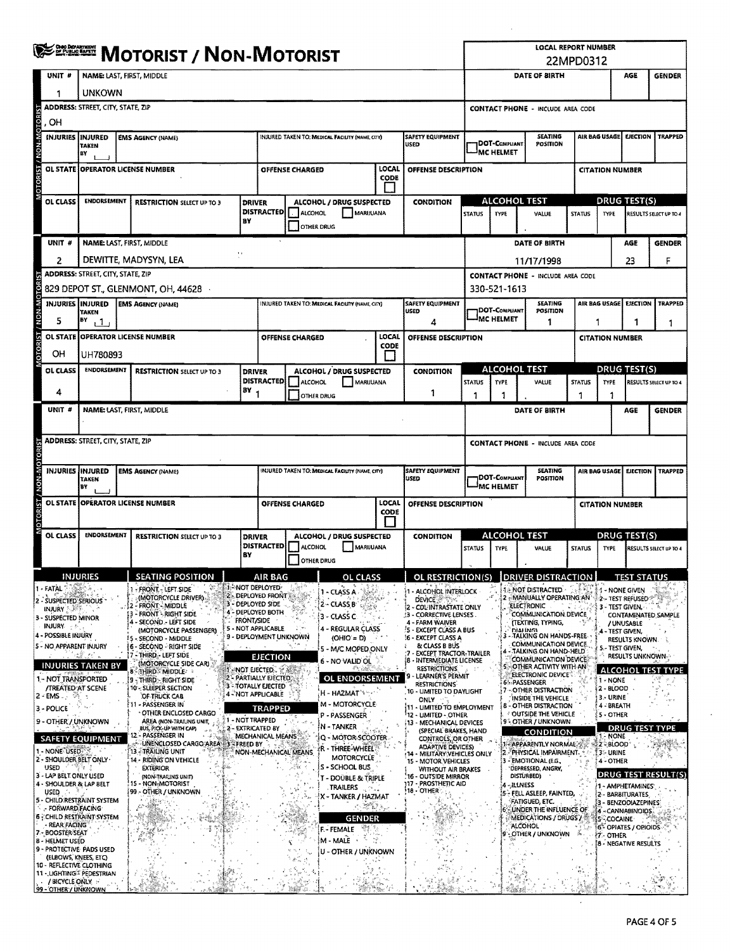|                         | ≸ <sup>ঞ্চল্ল</sup> Motorist / Non-Motorist           |                                          |                                                                         |                                     |                                                  |                                                                                    |                                                 |               |                                                                              | LOCAL REPORT NUMBER<br>22MPD0312                                               |                                          |                                  |                                                                 |                                              |                                         |                                      |                               |  |
|-------------------------|-------------------------------------------------------|------------------------------------------|-------------------------------------------------------------------------|-------------------------------------|--------------------------------------------------|------------------------------------------------------------------------------------|-------------------------------------------------|---------------|------------------------------------------------------------------------------|--------------------------------------------------------------------------------|------------------------------------------|----------------------------------|-----------------------------------------------------------------|----------------------------------------------|-----------------------------------------|--------------------------------------|-------------------------------|--|
|                         | UNIT <sup>#</sup>                                     | NAME: LAST, FIRST, MIDDLE                |                                                                         |                                     |                                                  |                                                                                    |                                                 |               |                                                                              |                                                                                |                                          | DATE OF BIRTH                    |                                                                 |                                              | AGE                                     | <b>GENDER</b>                        |                               |  |
|                         | 1                                                     | unkown                                   |                                                                         |                                     |                                                  |                                                                                    |                                                 |               |                                                                              |                                                                                |                                          |                                  |                                                                 |                                              |                                         |                                      |                               |  |
|                         |                                                       | <b>ADDRESS: STREET, CITY, STATE, ZIP</b> |                                                                         |                                     |                                                  |                                                                                    |                                                 |               |                                                                              |                                                                                | <b>CONTACT PHONE - INCLUDE AREA CODE</b> |                                  |                                                                 |                                              |                                         |                                      |                               |  |
| roR                     | OН                                                    |                                          |                                                                         |                                     |                                                  |                                                                                    |                                                 |               |                                                                              |                                                                                |                                          |                                  |                                                                 |                                              |                                         |                                      |                               |  |
|                         | <b>INJURIES</b>                                       | IINJURED<br><b>TAKEN</b>                 | <b>EMS AGENCY (NAME)</b>                                                |                                     |                                                  | INJURED TAKEN TO: MEDICAL FACILITY (NAME, CITY)<br><b>SAFETY EQUIPMENT</b><br>USED |                                                 |               | DOT-COMPLIANT                                                                |                                                                                | <b>SEATING</b><br><b>POSITION</b>        |                                  | AIR BAG USAGE                                                   |                                              | <b>EJECTION   TRAPPED</b>               |                                      |                               |  |
|                         |                                                       | B٧                                       |                                                                         |                                     |                                                  |                                                                                    |                                                 |               |                                                                              |                                                                                | <b>MC HELMET</b>                         |                                  |                                                                 |                                              |                                         |                                      |                               |  |
| <b>MOTORIST / NON-M</b> |                                                       |                                          | OL STATE OPPERATOR LICENSE NUMBER                                       |                                     |                                                  | OFFENSE CHARGED                                                                    |                                                 | LOCAL<br>CODE | OFFENSE DESCRIPTION                                                          |                                                                                |                                          |                                  |                                                                 |                                              | <b>CITATION NUMBER</b>                  |                                      |                               |  |
|                         |                                                       |                                          |                                                                         |                                     |                                                  |                                                                                    |                                                 |               |                                                                              |                                                                                |                                          |                                  |                                                                 |                                              |                                         |                                      |                               |  |
|                         | OL CLASS                                              | <b>ENDORSEMENT</b>                       | <b>RESTRICTION SELECT UP TO 3</b>                                       | <b>DRIVER</b><br>DISTRACTED ALCOHOL |                                                  |                                                                                    | ALCOHOL / DRUG SUSPECTED<br><b>MARIJUANA</b>    |               | <b>CONDITION</b>                                                             | <b>STATUS</b>                                                                  | <b>ALCOHOL TEST</b><br><b>TYPE</b>       |                                  | VALUE                                                           | <b>STATUS</b><br><b>TYPE</b>                 |                                         | <b>DRUG TEST(S)</b>                  | RESULTS SELECT UP TO 4        |  |
|                         |                                                       |                                          |                                                                         | BY                                  |                                                  | OTHER DRUG                                                                         |                                                 |               |                                                                              |                                                                                |                                          |                                  |                                                                 |                                              |                                         |                                      |                               |  |
|                         | UNIT #                                                |                                          | <b>NAME: LAST, FIRST, MIDDLE</b>                                        |                                     |                                                  |                                                                                    |                                                 |               |                                                                              |                                                                                |                                          |                                  | DATE OF BIRTH                                                   |                                              |                                         | AGE                                  | <b>GENDER</b>                 |  |
|                         | 2                                                     |                                          | DEWITTE, MADYSYN, LEA                                                   | $\mathbf{A}$                        |                                                  |                                                                                    |                                                 |               |                                                                              |                                                                                |                                          | 11/17/1998                       |                                                                 |                                              |                                         | 23                                   | F                             |  |
|                         |                                                       | <b>ADDRESS: STREET, CITY, STATE, ZIP</b> |                                                                         |                                     |                                                  |                                                                                    |                                                 |               |                                                                              |                                                                                |                                          |                                  | <b>CONTACT PHONE - INCLUDE AREA CODE</b>                        |                                              |                                         |                                      |                               |  |
| <b>OTORIST</b>          |                                                       |                                          | 829 DEPOT ST., GLENMONT, OH, 44628                                      |                                     |                                                  |                                                                                    |                                                 |               |                                                                              |                                                                                | 330-521-1613                             |                                  |                                                                 |                                              |                                         |                                      |                               |  |
| <b>DTORIST / NON-M</b>  |                                                       | INJURIES INJURED<br>TAKEN                | <b>EMS AGENCY (NAME)</b>                                                |                                     |                                                  |                                                                                    | INJURED TAKEN TO: MEDICAL FACILITY (NAME, CITY) |               | SAFETY EQUIPMENT<br>USED                                                     |                                                                                | DOT-COMPLIANT<br><b>MC HELMET</b>        |                                  | <b>SEATING</b><br>POSITION                                      |                                              | AIR BAG USAGE                           | EJECTION                             | <b>TRAPPED</b>                |  |
|                         | 5                                                     | B٧<br>1                                  |                                                                         |                                     |                                                  |                                                                                    |                                                 |               | 4                                                                            |                                                                                |                                          | 1                                |                                                                 | 1<br>1<br>1                                  |                                         |                                      |                               |  |
|                         |                                                       |                                          | OL STATE I OPERATOR LICENSE NUMBER                                      |                                     |                                                  | OFFENSE CHARGED                                                                    |                                                 | LOCAL<br>CODE | OFFENSE DESCRIPTION                                                          |                                                                                |                                          |                                  |                                                                 | <b>CITATION NUMBER</b>                       |                                         |                                      |                               |  |
|                         | OН                                                    | UH780893                                 |                                                                         |                                     |                                                  |                                                                                    |                                                 | I I           |                                                                              |                                                                                |                                          |                                  |                                                                 |                                              |                                         |                                      |                               |  |
|                         | <b>OL CLASS</b>                                       | <b>ENDORSEMENT</b>                       | <b>RESTRICTION SELECT UP TO 3</b>                                       | <b>DRIVER</b>                       | <b>DISTRACTED</b>                                | ALCOHOL                                                                            | ALCOHOL / DRUG SUSPECTED<br>MARUUANA            |               | <b>CONDITION</b>                                                             | <b>STATUS</b>                                                                  | <b>TYPE</b>                              | <b>ALCOHOL TEST</b>              | VALUE                                                           | DRUG TEST(S)<br><b>STATUS</b><br><b>TYPE</b> |                                         |                                      | <b>RESULTS SELECT UP TO 4</b> |  |
|                         | 4                                                     |                                          |                                                                         | $(BY_1$                             |                                                  | <b>OTHER DRUG</b>                                                                  |                                                 |               | 1                                                                            | 1                                                                              | -1                                       |                                  |                                                                 | 1                                            | 1                                       |                                      |                               |  |
|                         | UNIT #                                                |                                          | <b>NAME: LAST, FIRST, MIDDLE</b>                                        |                                     |                                                  |                                                                                    |                                                 |               |                                                                              |                                                                                |                                          |                                  | DATE OF BIRTH                                                   |                                              |                                         | AGE                                  | <b>GENDER</b>                 |  |
|                         |                                                       |                                          |                                                                         |                                     |                                                  |                                                                                    |                                                 |               |                                                                              |                                                                                |                                          |                                  |                                                                 |                                              |                                         |                                      |                               |  |
|                         |                                                       | <b>ADDRESS: STREET, CITY, STATE, ZIP</b> |                                                                         |                                     |                                                  |                                                                                    |                                                 |               |                                                                              | <b>CONTACT PHONE - INCLUDE AREA CODE</b>                                       |                                          |                                  |                                                                 |                                              |                                         |                                      |                               |  |
|                         |                                                       |                                          |                                                                         |                                     |                                                  |                                                                                    |                                                 |               |                                                                              |                                                                                |                                          |                                  |                                                                 |                                              |                                         |                                      |                               |  |
|                         | INJURIES INJURED                                      | TAKEN                                    | <b>EMS AGENCY (NAME)</b>                                                |                                     |                                                  |                                                                                    | INJURED TAKEN TO: MEDICAL FACILITY (NAME, CITY) |               | <b>SAFETY EQUIPMENT</b><br>USED                                              | <b>SEATING</b><br>AIR BAG USAGE<br>EJECTION<br>DOT-COMPUANT<br><b>POSITION</b> |                                          |                                  |                                                                 |                                              | <b>TRAPPED</b>                          |                                      |                               |  |
|                         |                                                       | B٧                                       |                                                                         |                                     |                                                  |                                                                                    |                                                 |               |                                                                              | MC HELMET                                                                      |                                          |                                  |                                                                 |                                              | <b>CITATION NUMBER</b>                  |                                      |                               |  |
| <b>OTORIST</b>          |                                                       |                                          | OL STATE OPERATOR LICENSE NUMBER                                        |                                     |                                                  | OFFENSE CHARGED                                                                    |                                                 | LOCAL<br>CODE | OFFENSE DESCRIPTION                                                          |                                                                                |                                          |                                  |                                                                 |                                              |                                         |                                      |                               |  |
|                         | OL CLASS                                              | <b>ENDORSEMENT</b>                       | <b>RESTRICTION SELECT UP TO 3</b>                                       | <b>DRIVER</b>                       | ! !<br>ALCOHOL / DRUG SUSPECTED                  |                                                                                    |                                                 |               |                                                                              |                                                                                | ALCOHOL TEST                             |                                  | DRUG TEST(S)                                                    |                                              |                                         |                                      |                               |  |
|                         |                                                       |                                          |                                                                         |                                     | <b>DISTRACTED</b>                                | <b>ALCOHOL</b>                                                                     | MARIJUANA                                       |               | <b>CONDITION</b>                                                             | <b>STATUS</b>                                                                  | <b>TYPE</b>                              |                                  | VALUE                                                           | <b>STATUS</b>                                | <b>TYPE</b>                             |                                      | RESULTS SELECT UP TO 4        |  |
|                         |                                                       |                                          |                                                                         | BY                                  |                                                  |                                                                                    | <b>OTHER DRUG</b>                               |               |                                                                              |                                                                                |                                          |                                  |                                                                 |                                              |                                         |                                      |                               |  |
|                         |                                                       | <b>INJURIES</b>                          | <b>SEATING POSITION</b>                                                 |                                     | AIR BAG<br><b>T-NOT DEPLOYED:</b>                |                                                                                    | <b>OL CLASS</b>                                 |               | OL RESTRICTION(S) DRIVER DISTRACTION                                         |                                                                                |                                          |                                  |                                                                 |                                              |                                         | <b>TEST STATUS</b>                   |                               |  |
|                         | - FATAL<br>2 - SUSPECTED SERIOUS                      |                                          | <b>1 - FRONT - LEFT SIDE</b><br>(MOTORCYCLE DRIVER)                     |                                     | 2 DEPLOYED FRONT<br>3 - DEPLOYED SIDE            |                                                                                    | 1 - CLASS A                                     |               | - ALCOHOL INTERLOCK<br><b>DEVICE All Stars</b>                               |                                                                                |                                          |                                  | <b>1. NOT DISTRACTED.</b><br><b>12 - MANUALLY OPERATING AN'</b> | 二番戦                                          | 1 - NONE GIVEN                          | 2- Test refused ?                    |                               |  |
|                         | <b>INJURY NAME</b><br>3 - SUSPECTED MINOR             |                                          | 2 FRONT MIDDLE<br>13 - FRONT - RIGHT SIDE                               |                                     | 4 - DEPLOYED BOTH                                |                                                                                    | 2 - CLASS B<br>3 - CLASS C                      |               | 2 - COL INTRASTATE ONLY<br>13 - CORRECTIVE LENSES.                           |                                                                                |                                          | ELECTRONIC                       | COMMUNICATION DEVICE                                            |                                              | 3 - TEST GIVEN,                         |                                      | CONTAMINATED SAMPLE           |  |
|                         | INJURY : 5<br>4 - POSSIBLE INJURY                     |                                          | - SECOND - LEFT SIDE<br>(MOTORCYCLE PASSENGER)                          | <b>FRONT/SIDE</b>                   | 5 - NOT APPLICABLE<br>9 - DEPLOYMENT UNKNOWN     |                                                                                    | 4 - REGULAR CLASS                               |               | 4 - FARM WAIVER<br>S - EXCEPT CLASS A BUS                                    |                                                                                |                                          | <b>DIAHMGI</b>                   | (TEXTING, TYPING,<br>TALKING ON HANDS-FREE                      |                                              | 4 - TEST GIVEN,                         | / UNUSABLE                           |                               |  |
|                         | 5 - NO APPARENT INJURY                                |                                          | - SECOND - MIDDLE<br>6 - SECOND - RIGHT SIDE                            |                                     |                                                  |                                                                                    | (OHIO = D)<br>5 - M/C MOPED ONLY                |               | <b>16 - EXCEPT CLASS A</b><br>& CLASS B BUS<br><b>EXCEPT TRACTOR-TRAILER</b> |                                                                                |                                          |                                  | COMMUNICATION DEVICE<br>TALKING ON HAND-HELD                    |                                              | 5.- TEST GIVEN.                         | RESULTS KNOWN.                       |                               |  |
|                         |                                                       | <b>INJURIES TAKEN BY</b>                 | 7 - THIRD - LEFT SIDE<br>(MOTORCYCLE SIDE CAR)                          |                                     | <b>EJECTION</b><br><b>IT . NOT EJECTED.</b> 2 AM |                                                                                    | 6 - NO VALID OL                                 |               | <b>8 - INTERMEDIATE LICENSE</b><br><b>RESTRICTIONS</b>                       |                                                                                |                                          |                                  | COMMUNICATION DEVICE<br>5 - OTHER ACTIVITY WITH AN              |                                              |                                         | <b>RESULTS UNKNOWN-</b>              |                               |  |
|                         | 1 - NOT TRANSPORTED                                   |                                          | 8 THIRD MIDDLE<br>9 - THIRD - RIGHT SIDE                                |                                     | 2 - PARTIALLY EJECTED,<br>3 - TOTALLY EJECTED    |                                                                                    | <b>OL ENDORSEMENT</b>                           |               | 9 - LEARNER'S PERMIT<br><b>RESTRICTIONS</b>                                  |                                                                                |                                          | 6 - PASSENGER                    | <b>ELECTRONIC DEVICE:</b>                                       |                                              | 1 - NONE                                |                                      | <b>ALCOHOL TEST TYPE</b>      |  |
|                         | <b>/TREATED AT SCENE</b><br>$2 - EMS$ . $\sim$<br>-38 |                                          | 10 - SLEEPER SECTION<br>OF TRUCK CAB                                    |                                     | 4 - NOT APPLICABLE                               |                                                                                    | H - HAZMAT "* ": "                              |               | , 10 - UMITED TO DAYLIGHT<br>ONLY                                            |                                                                                |                                          |                                  | 7 - OTHER DISTRACTION<br>INSIDE THE VEHICLE                     |                                              | 2 - BLOOD<br>3 - URINE                  |                                      |                               |  |
|                         | 3 - POLICE                                            |                                          | '11 - PASSENGER IN<br>OTHER ENCLOSED CARGO                              |                                     | <b>TRAPPED</b>                                   |                                                                                    | M - MOTORCYCLE<br>P - PASSENGER                 |               | (11 - UMITED TO EMPLOYMENT<br>'12 - LIMITED - OTHER                          |                                                                                |                                          |                                  | <b>B - OTHER DISTRACTION</b><br>OUTSIDE THE VEHICLE             |                                              | 4 - BREATH<br>5 - OTHER                 |                                      |                               |  |
|                         | 9 - OTHER / UNKNOWN                                   |                                          | AREA (NON-TRAILING UNIT,<br>BUS, PICK-UP WITH CAP)<br>12 - PASSENGER IN | 1 - NOT TRAPPED                     | 2 - EXTRICATED BY                                |                                                                                    | N - TANKER                                      |               | 13 - MECHANICAL DEVICES<br>(SPECIAL BRAKES, HAND                             |                                                                                |                                          |                                  | 9 - OTHER / UNKNOWN<br><b>CONDITION</b>                         |                                              |                                         | <b>DRUG TEST TYPE</b>                |                               |  |
|                         | 1 - NONE USED                                         | <b>SAFETY EQUIPMENT</b>                  | UNENCLOSED CARGO AREA 3 - FREED BY<br>13 - TRAILING UNIT                |                                     | MECHANICAL MEANS                                 |                                                                                    | Q - MOTOR SCOOTER<br>r - Three-Wheel'           |               | <b>CONTROLS, OR OTHER</b><br><b>ADAPTIVE DEVICES)</b>                        |                                                                                |                                          |                                  | 1 - APPARENTLY NORMAL                                           |                                              | 1 - NONE<br>2-BLOOD                     |                                      |                               |  |
|                         | <b>USED</b><br>i Kilimêyî e. Ş                        | 2 - SHOULDER BELT ONLY-                  | 14 - RIDING ON VEHICLE<br><b>EXTERIOR</b>                               |                                     |                                                  | NON-MECHANICAL MEANS                                                               | <b>MOTORCYCLE</b><br>S - SCHOOL BUS             |               | 14 - MILITARY VEHICLES ONLY<br>15 - MOTOR VEHICLES                           |                                                                                |                                          | 3 - EMOTIONAL (E.G.              | 2 PHYSICAL IMPAIRMENT.                                          |                                              | 3 - URINE<br>4 - OTHER                  |                                      |                               |  |
|                         | 3 - LAP BELT ONLY USED<br>4 - SHOULDER & LAP BELT     |                                          | (NON-TRAILING UNIT)<br>15 - NON-MOTORIST                                |                                     |                                                  |                                                                                    | <b>T - DOUBLE &amp; TRIPLE</b>                  |               | WITHOUT AIR BRAKES<br>16 - OUTSIDE MIRROR<br>117 - PROSTHETIC AID            |                                                                                |                                          | "DEPRESSED, ANGRY,<br>DISTURBED) |                                                                 |                                              |                                         |                                      | DRUG TEST RESULT(S)           |  |
|                         | USED<br>-14                                           | 5 - CHILD RESTRAINT SYSTEM               | 99 - OTHER / UNKNOWN                                                    |                                     |                                                  |                                                                                    | TRAILERS<br>X - TANKER / HAZMAT                 |               | 18 - OTHER                                                                   |                                                                                |                                          | 4 JILLNESS                       | (5 - FELL ASLEEP, FAINTED,                                      |                                              |                                         | 1 - AMPHETAMINES<br>2 - BARBITURATES |                               |  |
|                         | ,- FORWARD FACING                                     | <b>6 CHILD RESTRAINT SYSTEM</b>          |                                                                         |                                     |                                                  |                                                                                    | 不要缺失                                            |               |                                                                              | FATIGUED, ETC.<br>- UNDER THE INFLUENCE OF<br>MEDICATIONS / DRUGS /            |                                          |                                  |                                                                 |                                              | 3 - BENZODIAZEPINES<br>4 - CANNABINOIDS |                                      |                               |  |
|                         | - REAR FACING<br>7 - BOOSTER SEAT                     |                                          |                                                                         |                                     |                                                  |                                                                                    | <b>GENDER</b><br>Ÿ<br>F - FEMALE                |               |                                                                              |                                                                                |                                          | <b>ALCOHOL</b>                   |                                                                 |                                              | <b>SCOCAINE</b>                         | 6- OPIATES / OPIOIDS                 |                               |  |
|                         | <b>8 - HELMET USED</b>                                | 9 - PROTECTIVE PADS USED                 |                                                                         |                                     |                                                  |                                                                                    | M-MALE .                                        | -18           |                                                                              |                                                                                |                                          |                                  | OTHER / UNKNOWN                                                 |                                              | 7 - OTHER                               | 8 - NEGATIVE RESULTS                 |                               |  |
|                         | (ELBOWS, KNEES, ETC)                                  | 10 - REFLECTIVE CLOTHING                 |                                                                         |                                     |                                                  |                                                                                    | U - OTHER / UNKNOWN                             |               |                                                                              |                                                                                |                                          |                                  |                                                                 |                                              |                                         |                                      |                               |  |
|                         | / BICYCLE ONLY                                        | 11 - LIGHTING <sup>®</sup> PEDESTRIAN    |                                                                         |                                     |                                                  |                                                                                    |                                                 |               |                                                                              |                                                                                |                                          |                                  |                                                                 |                                              |                                         |                                      |                               |  |
|                         | 99 - OTHER / UNKNOWN                                  |                                          |                                                                         |                                     |                                                  |                                                                                    |                                                 |               |                                                                              |                                                                                |                                          |                                  |                                                                 |                                              |                                         |                                      |                               |  |

 $\epsilon$ 

 $\bar{\star}$